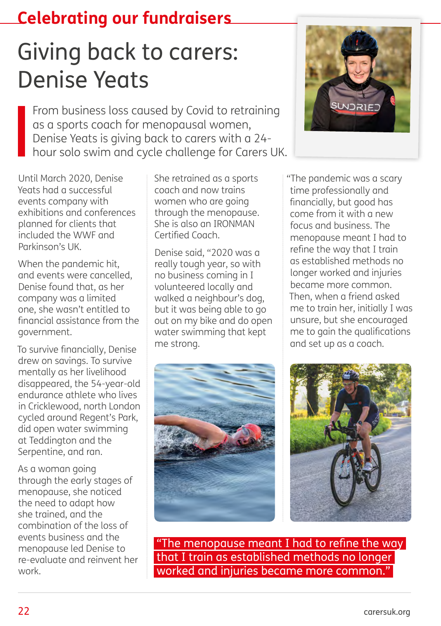## **Celebrating our fundraisers**

## Giving back to carers: Denise Yeats

From business loss caused by Covid to retraining as a sports coach for menopausal women, Denise Yeats is giving back to carers with a 24 hour solo swim and cycle challenge for Carers UK.

Until March 2020, Denise Yeats had a successful events company with exhibitions and conferences planned for clients that included the WWF and Parkinson's UK.

When the pandemic hit, and events were cancelled, Denise found that, as her company was a limited one, she wasn't entitled to financial assistance from the government.

To survive financially, Denise drew on savings. To survive mentally as her livelihood disappeared, the 54-year-old endurance athlete who lives in Cricklewood, north London cycled around Regent's Park, did open water swimming at Teddington and the Serpentine, and ran.

As a woman going through the early stages of menopause, she noticed the need to adapt how she trained, and the combination of the loss of events business and the menopause led Denise to re-evaluate and reinvent her work.

She retrained as a sports coach and now trains women who are going through the menopause. She is also an IRONMAN Certified Coach.

Denise said, "2020 was a really tough year, so with no business coming in I volunteered locally and walked a neighbour's dog, but it was being able to go out on my bike and do open water swimming that kept me strong.





"The pandemic was a scary time professionally and financially, but good has come from it with a new focus and business. The menopause meant I had to refine the way that I train as established methods no longer worked and injuries became more common. Then, when a friend asked me to train her, initially I was unsure, but she encouraged me to gain the qualifications and set up as a coach.



 "The menopause meant I had to refine the way that I train as established methods no longer worked and injuries became more common."